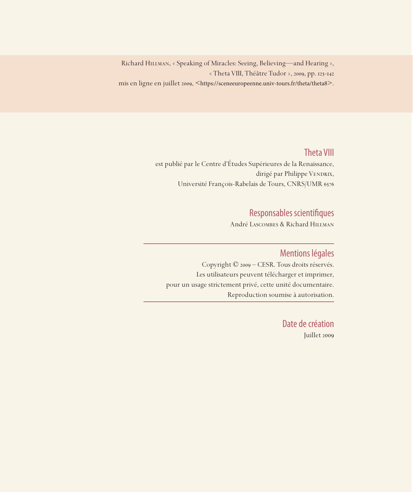Richard Hillman, « Speaking of Miracles: Seeing, Believing—and Hearing », « Theta VIII, Théâtre Tudor », 2009, pp. 125-142 mis en ligne en juillet 2009, <https://sceneeuropeenne.univ-tours.fr/theta/theta8>.

### Theta VIII

est publié par le Centre d'Études Supérieures de la Renaissance, dirigé par Philippe VENDRIX, Université François-Rabelais de Tours, CNRS/UMR 6576

# Responsables scientifiques

André Lascombes & Richard Hillman

## Mentions légales

Copyright © 2009 – CESR. Tous droits réservés. Les utilisateurs peuvent télécharger et imprimer, pour un usage strictement privé, cette unité documentaire. Reproduction soumise à autorisation.

> Date de création Juillet 2009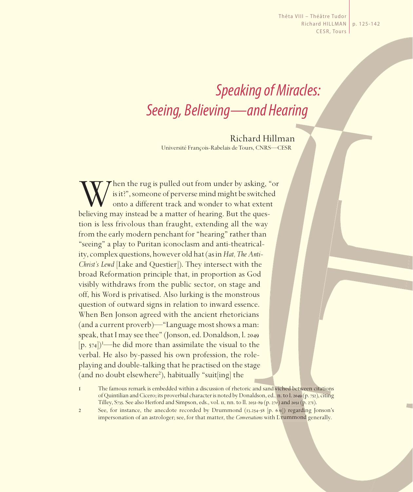Thêta VIII – Théâtre Tudor Richard HILLMAN CESR, Tours p. 125-142

# *Speaking of Miracles: Seeing, Believing—and Hearing*

Richard Hillman Université François-Rabelais de Tours, CNRS—CESR

When the rug is pulled out from under by asking, "or<br>is it?", someone of perverse mind might be switched<br>onto a different track and wonder to what extent<br>believing may instead be a matter of hearing. But the quesis it?", someone of perverse mind might be switched onto a different track and wonder to what extent believing may instead be a matter of hearing. But the question is less frivolous than fraught, extending all the way from the early modern penchant for "hearing" rather than "seeing" a play to Puritan iconoclasm and anti-theatricality, complex questions, however old hat (as in *Hat, The Anti-Christ's Lewd* [Lake and Questier]). They intersect with the broad Reformation principle that, in proportion as God visibly withdraws from the public sector, on stage and off, his Word is privatised. Also lurking is the monstrous question of outward signs in relation to inward essence. When Ben Jonson agreed with the ancient rhetoricians (and a current proverb)—"Language most shows a man: speak, that I may see thee" (Jonson, ed. Donaldson, l. 2049  $[p. 574]$ <sup>1</sup>—he did more than assimilate the visual to the verbal. He also by-passed his own profession, the roleplaying and double-talking that he practised on the stage (and no doubt elsewhere<sup>2</sup>), habitually "suit[ing] the

2 See, for instance, the anecdote recorded by Drummond (13.254-58 [p. 601]) regarding Jonson's impersonation of an astrologer; see, for that matter, the *Conversations* with Drummond generally.

<sup>1</sup> The famous remark is embedded within a discussion of rhetoric and sandwiched between citations of Quintilian and Cicero; its proverbial character is noted by Donaldson, ed., n. to l. 2049 (p. 752), citing Tilley, S735. See also Herford and Simpson, eds., vol. 11, nn. to ll. 2031-89 (p. 270) and 2031 (p. 271).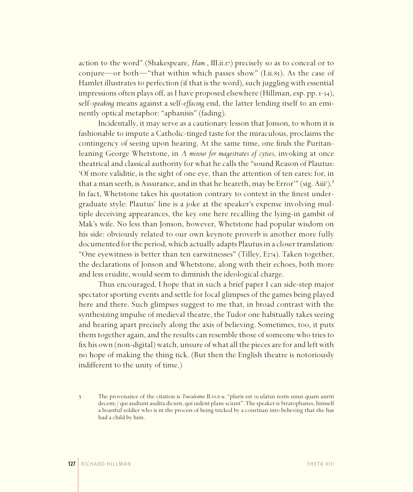action to the word" (Shakespeare, *Ham.*, III.ii.17) precisely so as to conceal or to conjure—or both—"that within which passes show" (I.ii.85). As the case of Hamlet illustrates to perfection (if that is the word), such juggling with essential impressions often plays off, as I have proposed elsewhere (Hillman, esp. pp. 1-34), self-*speaking* means against a self-*effacing* end, the latter lending itself to an eminently optical metaphor: "aphanisis" (fading).

Incidentally, it may serve as a cautionary lesson that Jonson, to whom it is fashionable to impute a Catholic-tinged taste for the miraculous, proclaims the contingency of seeing upon hearing. At the same time, one finds the Puritanleaning George Whetstone, in *A mirour for magestrates of cyties*, invoking at once theatrical and classical authority for what he calls the "sound Reason of Plautus: 'Of more validitie, is the sight of one eye, than the attention of ten eares: for, in that a man seeth, is Assurance, and in that he heareth, may be Error"" (sig. Aiii').<sup>3</sup> In fact, Whetstone takes his quotation contrary to context in the finest undergraduate style: Plautus' line is a joke at the speaker's expense involving multiple deceiving appearances, the key one here recalling the lying-in gambit of Mak's wife. No less than Jonson, however, Whetstone had popular wisdom on his side: obviously related to our own keynote proverb is another more fully documented for the period, which actually adapts Plautus in a closer translation: "One eyewitness is better than ten earwitnesses" (Tilley, E274). Taken together, the declarations of Jonson and Whetstone, along with their echoes, both more and less erudite, would seem to diminish the ideological charge.

Thus encouraged, I hope that in such a brief paper I can side-step major spectator sporting events and settle for local glimpses of the games being played here and there. Such glimpses suggest to me that, in broad contrast with the synthesizing impulse of medieval theatre, the Tudor one habitually takes seeing and hearing apart precisely along the axis of believing. Sometimes, too, it puts them together again, and the results can resemble those of someone who tries to fix his own (non-digital) watch, unsure of what all the pieces are for and left with no hope of making the thing tick. (But then the English theatre is notoriously indifferent to the unity of time.)

<sup>3</sup> The provenance of the citation is *Truculentus* II.vi.8-9: "pluris est oculatus testis unus quam auriti decem; / qui audiunt audita dicunt, qui uident plane sciunt". The speaker is Stratophanes, himself a boastful soldier who is in the process of being tricked by a courtisan into believing that she has had a child by him.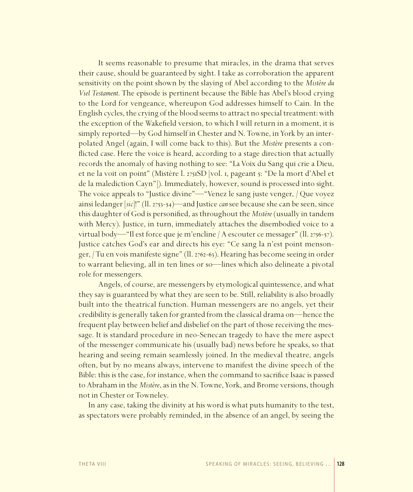It seems reasonable to presume that miracles, in the drama that serves their cause, should be guaranteed by sight. I take as corroboration the apparent sensitivity on the point shown by the slaying of Abel according to the *Mistère du Viel Testament*. The episode is pertinent because the Bible has Abel's blood crying to the Lord for vengeance, whereupon God addresses himself to Cain. In the English cycles, the crying of the blood seems to attract no special treatment: with the exception of the Wakefield version, to which I will return in a moment, it is simply reported—by God himself in Chester and N. Towne, in York by an interpolated Angel (again, I will come back to this). But the *Mistère* presents a conflicted case. Here the voice is heard, according to a stage direction that actually records the anomaly of having nothing to see: "La Voix du Sang qui crie a Dieu, et ne la voit on point" (Mistère l. 2751SD [vol. 1, pageant 5: "De la mort d'Abel et de la malediction Cayn"]). Immediately, however, sound is processed into sight. The voice appeals to "Justice divine"—"Venez le sang juste venger, / Que voyez ainsi ledanger [*sic*]!" (ll. 2753-54)—and Justice *can* see because she can be seen, since this daughter of God is personified, as throughout the *Mistère* (usually in tandem with Mercy). Justice, in turn, immediately attaches the disembodied voice to a virtual body—"Il est force que je m'encline / A escouter ce messager" (ll. 2756-57). Justice catches God's ear and directs his eye: "Ce sang la n'est point mensonger, / Tu en vois manifeste signe" (ll. 2762-63). Hearing has become seeing in order to warrant believing, all in ten lines or so—lines which also delineate a pivotal role for messengers.

Angels, of course, are messengers by etymological quintessence, and what they say is guaranteed by what they are seen to be. Still, reliability is also broadly built into the theatrical function. Human messengers are no angels, yet their credibility is generally taken for granted from the classical drama on—hence the frequent play between belief and disbelief on the part of those receiving the message. It is standard procedure in neo-Senecan tragedy to have the mere aspect of the messenger communicate his (usually bad) news before he speaks, so that hearing and seeing remain seamlessly joined. In the medieval theatre, angels often, but by no means always, intervene to manifest the divine speech of the Bible: this is the case, for instance, when the command to sacrifice Isaac is passed to Abraham in the *Mistère*, as in the N. Towne, York, and Brome versions, though not in Chester or Towneley.

In any case, taking the divinity at his word is what puts humanity to the test, as spectators were probably reminded, in the absence of an angel, by seeing the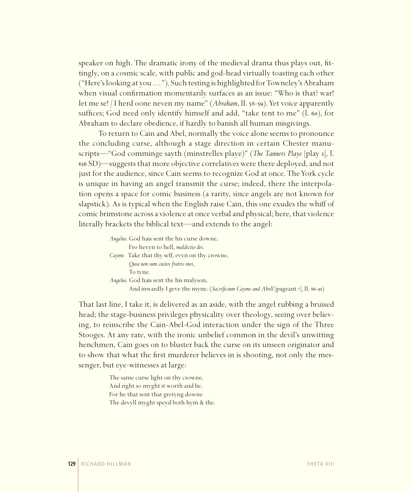speaker on high. The dramatic irony of the medieval drama thus plays out, fittingly, on a cosmic scale, with public and god-head virtually toasting each other ("Here's looking at you…"). Such testing is highlighted for Towneley's Abraham when visual confirmation momentarily surfaces as an issue: "Who is that? war! let me se! / I herd oone neven my name" (*Abraham*, ll. 58-59). Yet voice apparently suffices; God need only identify himself and add, "take tent to me" (l. 60), for Abraham to declare obedience, if hardly to banish all human misgivings.

To return to Cain and Abel, normally the voice alone seems to pronounce the concluding curse, although a stage direction in certain Chester manuscripts—"God comminge sayth (minstrelles playe)" (*The Tanners Playe* [play 1], l. 616 SD)—suggests that more objective correlatives were there deployed, and not just for the audience, since Cain seems to recognize God at once. The York cycle is unique in having an angel transmit the curse; indeed, there the interpolation opens a space for comic business (a rarity, since angels are not known for slapstick). As is typical when the English raise Cain, this one exudes the whiff of comic brimstone across a violence at once verbal and physical; here, that violence literally brackets the biblical text—and extends to the angel:

> *Angelus.* God hais sent the his curse downe, Fro hevyn to hell, *maldictio dei*. *Cayme.* Take that thy self, evyn on thy crowne, *Quia non sum custos fratris mei*, To tyne. *Angelus.* God hais sent the his malyson, And inwardly I geve the myne. (*Sacrificium Cayme and Abell* [pageant 7], ll. 86-91)

That last line, I take it, is delivered as an aside, with the angel rubbing a bruised head; the stage-business privileges physicality over theology, seeing over believing, to reinscribe the Cain-Abel-God interaction under the sign of the Three Stooges. At any rate, with the ironic unbelief common in the devil's unwitting henchmen, Cain goes on to bluster back the curse on its unseen originator and to show that what the first murderer believes in is shooting, not only the messenger, but eye-witnesses at large:

> The same curse light on thy crowne, And right so myght it worth and be, For he that sent that gretyng downe The devyll myght speyd both hym & the.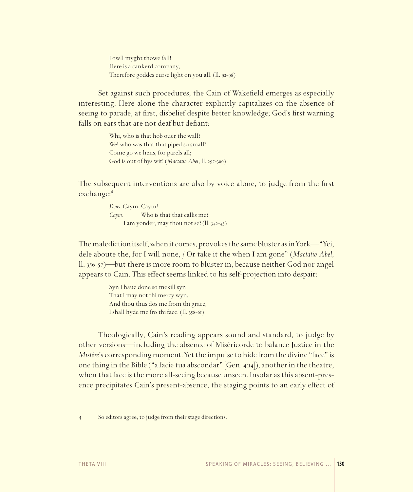Fowll myght thowe fall! Here is a cankerd company, Therefore goddes curse light on you all. (ll. 92-98)

Set against such procedures, the Cain of Wakefield emerges as especially interesting. Here alone the character explicitly capitalizes on the absence of seeing to parade, at first, disbelief despite better knowledge; God's first warning falls on ears that are not deaf but defiant:

> Whi, who is that hob ouer the wall? We! who was that that piped so small? Come go we hens, for parels all; God is out of hys wit! (*Mactatio Abel*, ll. 297-300)

The subsequent interventions are also by voice alone, to judge from the first exchange:<sup>4</sup>

```
Deus. Caym, Caym!
Caym. Who is that that callis me?
      I am yonder, may thou not se? (ll. 342-43)
```
The malediction itself, when it comes, provokes the same bluster as in York—"Yei, dele aboute the, for I will none, / Or take it the when I am gone" (*Mactatio Abel*, ll. 356-57)—but there is more room to bluster in, because neither God nor angel appears to Cain. This effect seems linked to his self-projection into despair:

> Syn I haue done so mekill syn That I may not thi mercy wyn, And thou thus dos me from thi grace, I shall hyde me fro thi face. (ll. 358-61)

Theologically, Cain's reading appears sound and standard, to judge by other versions—including the absence of Miséricorde to balance Justice in the *Mistère*'s corresponding moment. Yet the impulse to hide from the divine "face" is one thing in the Bible ("a facie tua abscondar"  $|Gen. 4:14|$ ), another in the theatre, when that face is the more all-seeing because unseen. Insofar as this absent-presence precipitates Cain's present-absence, the staging points to an early effect of

<sup>4</sup> So editors agree, to judge from their stage directions.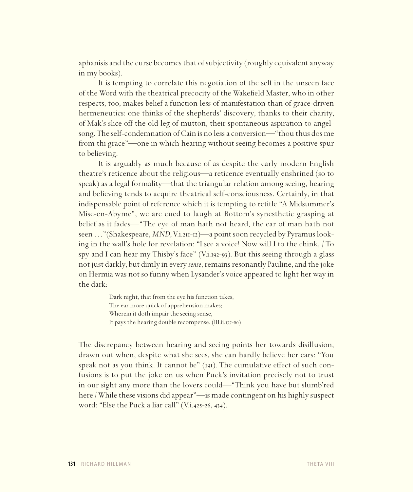aphanisis and the curse becomes that of subjectivity (roughly equivalent anyway in my books).

It is tempting to correlate this negotiation of the self in the unseen face of the Word with the theatrical precocity of the Wakefield Master, who in other respects, too, makes belief a function less of manifestation than of grace-driven hermeneutics: one thinks of the shepherds' discovery, thanks to their charity, of Mak's slice off the old leg of mutton, their spontaneous aspiration to angelsong. The self-condemnation of Cain is no less a conversion—"thou thus dos me from thi grace"—one in which hearing without seeing becomes a positive spur to believing.

It is arguably as much because of as despite the early modern English theatre's reticence about the religious—a reticence eventually enshrined (so to speak) as a legal formality—that the triangular relation among seeing, hearing and believing tends to acquire theatrical self-consciousness. Certainly, in that indispensable point of reference which it is tempting to retitle "A Midsummer's Mise-en-Abyme", we are cued to laugh at Bottom's synesthetic grasping at belief as it fades—"The eye of man hath not heard, the ear of man hath not seen ..."(Shakespeare, *MND*, V.i.211-12)—a point soon recycled by Pyramus looking in the wall's hole for revelation: "I see a voice! Now will I to the chink, / To spy and I can hear my Thisby's face" (V.i.192-93). But this seeing through a glass not just darkly, but dimly in every *sense*, remains resonantly Pauline, and the joke on Hermia was not so funny when Lysander's voice appeared to light her way in the dark:

> Dark night, that from the eye his function takes, The ear more quick of apprehension makes; Wherein it doth impair the seeing sense, It pays the hearing double recompense. (III.ii.177-80)

The discrepancy between hearing and seeing points her towards disillusion, drawn out when, despite what she sees, she can hardly believe her ears: "You speak not as you think. It cannot be" (191). The cumulative effect of such confusions is to put the joke on us when Puck's invitation precisely not to trust in our sight any more than the lovers could—"Think you have but slumb'red here / While these visions did appear"—is made contingent on his highly suspect word: "Else the Puck a liar call" (V.i.425-26, 434).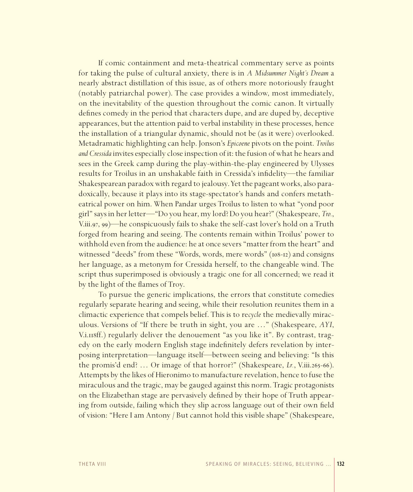If comic containment and meta-theatrical commentary serve as points for taking the pulse of cultural anxiety, there is in *A Midsummer Night's Dream* a nearly abstract distillation of this issue, as of others more notoriously fraught (notably patriarchal power). The case provides a window, most immediately, on the inevitability of the question throughout the comic canon. It virtually defines comedy in the period that characters dupe, and are duped by, deceptive appearances, but the attention paid to verbal instability in these processes, hence the installation of a triangular dynamic, should not be (as it were) overlooked. Metadramatic highlighting can help. Jonson's *Epicoene* pivots on the point. *Troilus and Cressida* invites especially close inspection of it: the fusion of what he hears and sees in the Greek camp during the play-within-the-play engineered by Ulysses results for Troilus in an unshakable faith in Cressida's infidelity—the familiar Shakespearean paradox with regard to jealousy. Yet the pageant works, also paradoxically, because it plays into its stage-spectator's hands and confers metatheatrical power on him. When Pandar urges Troilus to listen to what "yond poor girl" says in her letter—"Do you hear, my lord? Do you hear?" (Shakespeare, *Tro.*, V.iii.97, 99)—he conspicuously fails to shake the self-cast lover's hold on a Truth forged from hearing and seeing. The contents remain within Troilus' power to withhold even from the audience: he at once severs "matter from the heart" and witnessed "deeds" from these "Words, words, mere words" (108-12) and consigns her language, as a metonym for Cressida herself, to the changeable wind. The script thus superimposed is obviously a tragic one for all concerned; we read it by the light of the flames of Troy.

To pursue the generic implications, the errors that constitute comedies regularly separate hearing and seeing, while their resolution reunites them in a climactic experience that compels belief. This is to re*cycle* the medievally miraculous. Versions of "If there be truth in sight, you are …" (Shakespeare, *AYI*, V.i.118ff.) regularly deliver the denouement "as you like it". By contrast, tragedy on the early modern English stage indefinitely defers revelation by interposing interpretation—language itself—between seeing and believing: "Is this the promis'd end? … Or image of that horror?" (Shakespeare, *Lr.*, V.iii.265-66). Attempts by the likes of Hieronimo to manufacture revelation, hence to fuse the miraculous and the tragic, may be gauged against this norm. Tragic protagonists on the Elizabethan stage are pervasively defined by their hope of Truth appearing from outside, failing which they slip across language out of their own field of vision: "Here I am Antony / But cannot hold this visible shape" (Shakespeare,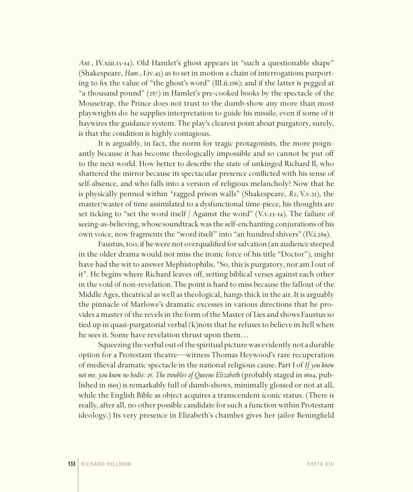*Ant.*, IV.xiii.13-14). Old Hamlet's ghost appears in "such a questionable shape" (Shakespeare, *Ham.*, I.iv.43) as to set in motion a chain of interrogations purporting to fix the value of "the ghost's word" (III.ii.286); and if the latter is pegged at "a thousand pound" (287) in Hamlet's pre-cooked books by the spectacle of the Mousetrap, the Prince does not trust to the dumb-show any more than most playwrights do: he supplies interpretation to guide his missile, even if some of it haywires the guidance system. The play's clearest point about purgatory, surely, is that the condition is highly contagious.

It is arguably, in fact, the norm for tragic protagonists, the more poignantly because it has become theologically impossible and so cannot be put off to the next world. How better to describe the state of unkinged Richard II, who shattered the mirror because its spectacular presence conflicted with his sense of self-absence, and who falls into a version of religious melancholy? Now that he is physically penned within "ragged prison walls" (Shakespeare, *R2*, V.v.21), the master/waster of time assimilated to a dysfunctional time-piece, his thoughts are set ticking to "set the word itself / Against the word" (V.v.13-14). The failure of seeing-as-believing, whose soundtrack was the self-enchanting conjurations of his own voice, now fragments the "word itself" into "an hundred shivers" (IV.i.289).

Faustus, too, if he were not overqualified for salvation (an audience steeped in the older drama would not miss the ironic force of his title "Doctor"), might have had the wit to answer Mephistophilis, "So, this is purgatory, nor am I out of it". He begins where Richard leaves off, setting biblical verses against each other in the void of non-revelation. The point is hard to miss because the fallout of the Middle Ages, theatrical as well as theological, hangs thick in the air. It is arguably the pinnacle of Marlowe's dramatic excesses in various directions that he provides a master of the revels in the form of the Master of Lies and shows Faustus so tied up in quasi-purgatorial verbal (k)nots that he refuses to believe in hell when he sees it. Some have revelation thrust upon them…

Squeezing the verbal out of the spiritual picture was evidently not a durable option for a Protestant theatre—witness Thomas Heywood's rare recuperation of medieval dramatic spectacle in the national religious cause. Part I of *If you know not me, you know no bodie: or, The troubles of Queene Elizabeth* (probably staged in 1604, published in 1605) is remarkably full of dumb-shows, minimally glossed or not at all, while the English Bible as object acquires a transcendent iconic status. (There is really, after all, no other possible candidate for such a function within Protestant ideology.) Its very presence in Elizabeth's chamber gives her jailor Beningfield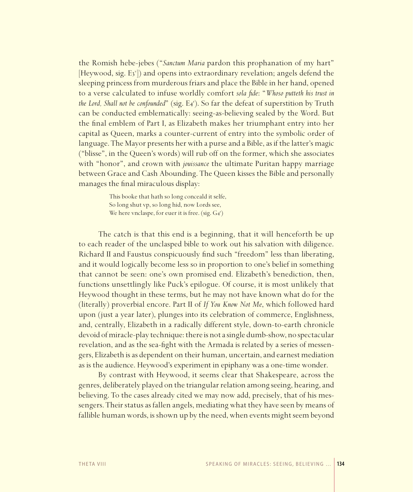the Romish hebe-jebes ("*Sanctum Maria* pardon this prophanation of my hart" [Heywood, sig. E3"]) and opens into extraordinary revelation; angels defend the sleeping princess from murderous friars and place the Bible in her hand, opened to a verse calculated to infuse worldly comfort *sola fide*: "*Whoso putteth his trust in* the Lord, Shall not be confounded" (sig. E4<sup>r</sup>). So far the defeat of superstition by Truth can be conducted emblematically: seeing-as-believing sealed by the Word. But the final emblem of Part I, as Elizabeth makes her triumphant entry into her capital as Queen, marks a counter-current of entry into the symbolic order of language. The Mayor presents her with a purse and a Bible, as if the latter's magic ("blisse", in the Queen's words) will rub off on the former, which she associates with "honor", and crown with *jouissance* the ultimate Puritan happy marriage between Grace and Cash Abounding. The Queen kisses the Bible and personally manages the final miraculous display:

> This booke that hath so long conceald it selfe, So long shut vp, so long hid, now Lords see, We here vnclaspe, for euer it is free. (sig. G4<sup>r</sup>)

The catch is that this end is a beginning, that it will henceforth be up to each reader of the unclasped bible to work out his salvation with diligence. Richard II and Faustus conspicuously find such "freedom" less than liberating, and it would logically become less so in proportion to one's belief in something that cannot be seen: one's own promised end. Elizabeth's benediction, then, functions unsettlingly like Puck's epilogue. Of course, it is most unlikely that Heywood thought in these terms, but he may not have known what do for the (literally) proverbial encore. Part II of *If You Know Not Me*, which followed hard upon (just a year later), plunges into its celebration of commerce, Englishness, and, centrally, Elizabeth in a radically different style, down-to-earth chronicle devoid of miracle-play technique: there is not a single dumb-show, no spectacular revelation, and as the sea-fight with the Armada is related by a series of messengers, Elizabeth is as dependent on their human, uncertain, and earnest mediation as is the audience. Heywood's experiment in epiphany was a one-time wonder.

By contrast with Heywood, it seems clear that Shakespeare, across the genres, deliberately played on the triangular relation among seeing, hearing, and believing. To the cases already cited we may now add, precisely, that of his messengers. Their status as fallen angels, mediating what they have seen by means of fallible human words, is shown up by the need, when events might seem beyond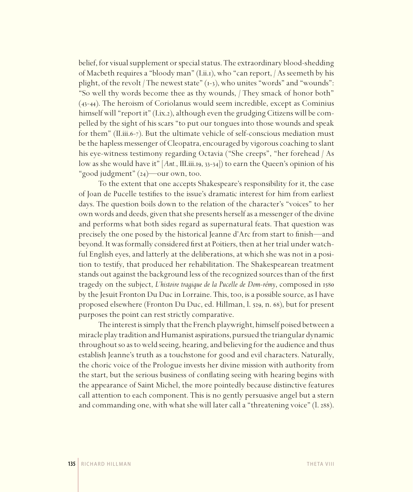belief, for visual supplement or special status. The extraordinary blood-shedding of Macbeth requires a "bloody man"(I.ii.1), who "can report, / As seemeth by his plight, of the revolt / The newest state"  $(1-3)$ , who unites "words" and "wounds": "So well thy words become thee as thy wounds, / They smack of honor both" (43-44). The heroism of Coriolanus would seem incredible, except as Cominius himself will "report it" (I.ix.2), although even the grudging Citizens will be compelled by the sight of his scars "to put our tongues into those wounds and speak for them" (II.iii.6-7). But the ultimate vehicle of self-conscious mediation must be the hapless messenger of Cleopatra, encouraged by vigorous coaching to slant his eye-witness testimony regarding Octavia ("She creeps", "her forehead / As low as she would have it" [*Ant.*, III.iii.19, 33-34]) to earn the Queen's opinion of his "good judgment" (24)—our own, too.

To the extent that one accepts Shakespeare's responsibility for it, the case of Joan de Pucelle testifies to the issue's dramatic interest for him from earliest days. The question boils down to the relation of the character's "voices" to her own words and deeds, given that she presents herself as a messenger of the divine and performs what both sides regard as supernatural feats. That question was precisely the one posed by the historical Jeanne d'Arc from start to finish—and beyond. It was formally considered first at Poitiers, then at her trial under watchful English eyes, and latterly at the deliberations, at which she was not in a position to testify, that produced her rehabilitation. The Shakespearean treatment stands out against the background less of the recognized sources than of the first tragedy on the subject, *L'histoire tragique de la Pucelle de Dom-rémy*, composed in 1580 by the Jesuit Fronton Du Duc in Lorraine. This, too, is a possible source, as I have proposed elsewhere (Fronton Du Duc, ed. Hillman, l. 529, n. 68), but for present purposes the point can rest strictly comparative.

The interest is simply that the French playwright, himself poised between a miracle play tradition and Humanist aspirations, pursued the triangular dynamic throughout so as to weld seeing, hearing, and believing for the audience and thus establish Jeanne's truth as a touchstone for good and evil characters. Naturally, the choric voice of the Prologue invests her divine mission with authority from the start, but the serious business of conflating seeing with hearing begins with the appearance of Saint Michel, the more pointedly because distinctive features call attention to each component. This is no gently persuasive angel but a stern and commanding one, with what she will later call a "threatening voice" (l. 288).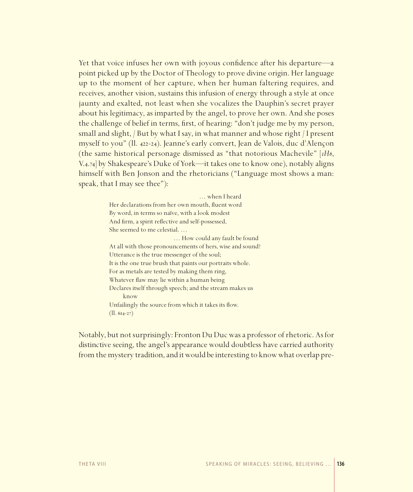Yet that voice infuses her own with joyous confidence after his departure—a point picked up by the Doctor of Theology to prove divine origin. Her language up to the moment of her capture, when her human faltering requires, and receives, another vision, sustains this infusion of energy through a style at once jaunty and exalted, not least when she vocalizes the Dauphin's secret prayer about his legitimacy, as imparted by the angel, to prove her own. And she poses the challenge of belief in terms, first, of hearing: "don't judge me by my person, small and slight,  $/$  But by what I say, in what manner and whose right  $/$  I present myself to you" (ll. 422-24). Jeanne's early convert, Jean de Valois, duc d'Alençon (the same historical personage dismissed as "that notorious Machevile" [*1H6*, V.4.74] by Shakespeare's Duke of York—it takes one to know one), notably aligns himself with Ben Jonson and the rhetoricians ("Language most shows a man: speak, that I may see thee"):

> … when I heard Her declarations from her own mouth, fluent word By word, in terms so naïve, with a look modest And firm, a spirit reflective and self-possessed, She seemed to me celestial. …

 … How could any fault be found At all with those pronouncements of hers, wise and sound? Utterance is the true messenger of the soul; It is the one true brush that paints our portraits whole. For as metals are tested by making them ring, Whatever flaw may lie within a human being Declares itself through speech; and the stream makes us know Unfailingly the source from which it takes its flow. (ll. 614-27)

Notably, but not surprisingly: Fronton Du Duc was a professor of rhetoric. As for distinctive seeing, the angel's appearance would doubtless have carried authority from the mystery tradition, and it would be interesting to know what overlap pre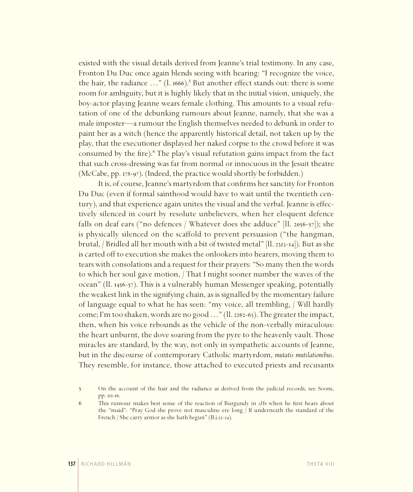existed with the visual details derived from Jeanne's trial testimony. In any case, Fronton Du Duc once again blends seeing with hearing: "I recognize the voice, the hair, the radiance  $\ldots$ " (l. 1666).<sup>5</sup> But another effect stands out: there is some room for ambiguity, but it is highly likely that in the initial vision, uniquely, the boy-actor playing Jeanne wears female clothing. This amounts to a visual refutation of one of the debunking rumours about Jeanne, namely, that she was a male imposter—a rumour the English themselves needed to debunk in order to paint her as a witch (hence the apparently historical detail, not taken up by the play, that the executioner displayed her naked corpse to the crowd before it was consumed by the fire).<sup>6</sup> The play's visual refutation gains impact from the fact that such cross-dressing was far from normal or innocuous in the Jesuit theatre (McCabe, pp. 178-97). (Indeed, the practice would shortly be forbidden.)

It is, of course, Jeanne's martyrdom that confirms her sanctity for Fronton Du Duc (even if formal sainthood would have to wait until the twentieth century), and that experience again unites the visual and the verbal. Jeanne is effectively silenced in court by resolute unbelievers, when her eloquent defence falls on deaf ears ("no defences / Whatever does she adduce" [ll. 2056-57]); she is physically silenced on the scaffold to prevent persuasion ("the hangman, brutal, / Bridled all her mouth with a bit of twisted metal" [ll. 2313-14]). But as she is carted off to execution she makes the onlookers into hearers, moving them to tears with consolations and a request for their prayers: "So many then the words to which her soul gave motion, / That I might sooner number the waves of the ocean" (ll. 1456-57). This is a vulnerably human Messenger speaking, potentially the weakest link in the signifying chain, as is signalled by the momentary failure of language equal to what he has seen: "my voice, all trembling, / Will hardly come; I'm too shaken, words are no good…" (ll. 2262-63). The greater the impact, then, when his voice rebounds as the vehicle of the non-verbally miraculous: the heart unburnt, the dove soaring from the pyre to the heavenly vault. Those miracles are standard, by the way, not only in sympathetic accounts of Jeanne, but in the discourse of contemporary Catholic martyrdom, *mutatis mutilationibus*. They resemble, for instance, those attached to executed priests and recusants

<sup>5</sup> On the account of the hair and the radiance as derived from the judicial records, see Soons, pp. 115-16.

<sup>6</sup> This rumour makes best sense of the reaction of Burgundy in *1H6* when he first hears about the "maid": "Pray God she prove not masculine ere long / If underneath the standard of the French / She carry armor as she hath begun" (II.i.22-24).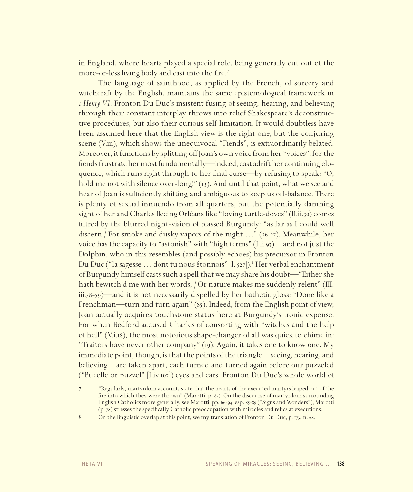in England, where hearts played a special role, being generally cut out of the more-or-less living body and cast into the fire.<sup>7</sup>

The language of sainthood, as applied by the French, of sorcery and witchcraft by the English, maintains the same epistemological framework in *1 Henry VI*. Fronton Du Duc's insistent fusing of seeing, hearing, and believing through their constant interplay throws into relief Shakespeare's deconstructive procedures, but also their curious self-limitation. It would doubtless have been assumed here that the English view is the right one, but the conjuring scene (V.iii), which shows the unequivocal "Fiends", is extraordinarily belated. Moreover, it functions by splitting off Joan's own voice from her "voices", for the fiends frustrate her most fundamentally—indeed, cast adrift her continuing eloquence, which runs right through to her final curse—by refusing to speak: "O, hold me not with silence over-long!" (13). And until that point, what we see and hear of Joan is sufficiently shifting and ambiguous to keep us off-balance. There is plenty of sexual innuendo from all quarters, but the potentially damning sight of her and Charles fleeing Orléans like "loving turtle-doves" (II.ii.30) comes filtred by the blurred night-vision of biassed Burgundy: "as far as I could well discern / For smoke and dusky vapors of the night …" (26-27). Meanwhile, her voice has the capacity to "astonish" with "high terms" (I.ii.93)—and not just the Dolphin, who in this resembles (and possibly echoes) his precursor in Fronton Du Duc ("la sagesse ... dont tu nous étonnois" [l. 527]).<sup>8</sup> Her verbal enchantment of Burgundy himself casts such a spell that we may share his doubt—"Either she hath bewitch'd me with her words, / Or nature makes me suddenly relent" (III. iii.58-59)—and it is not necessarily dispelled by her bathetic gloss: "Done like a Frenchman—turn and turn again" (85). Indeed, from the English point of view, Joan actually acquires touchstone status here at Burgundy's ironic expense. For when Bedford accused Charles of consorting with "witches and the help of hell" (V.i.18), the most notorious shape-changer of all was quick to chime in: "Traitors have never other company" (19). Again, it takes one to know one. My immediate point, though, is that the points of the triangle—seeing, hearing, and believing—are taken apart, each turned and turned again before our puzzeled ("Pucelle or puzzel" [I.iv.107]) eyes and ears. Fronton Du Duc's whole world of

<sup>7</sup> "Regularly, martyrdom accounts state that the hearts of the executed martyrs leaped out of the fire into which they were thrown" (Marotti, p. 87). On the discourse of martyrdom surrounding English Catholics more generally, see Marotti, pp. 66-94, esp. 85-89 ("Signs and Wonders"); Marotti (p. 78) stresses the specifically Catholic preoccupation with miracles and relics at executions.

<sup>8</sup> On the linguistic overlap at this point, see my translation of Fronton Du Duc, p. 173, n. 68.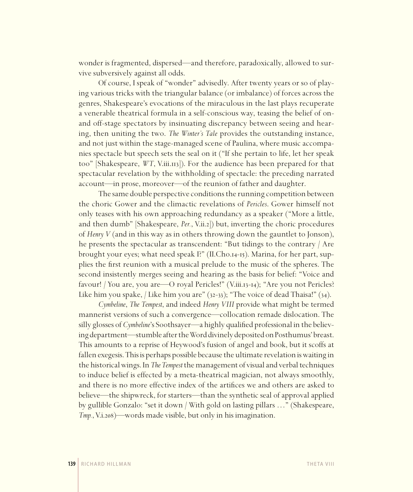wonder is fragmented, dispersed—and therefore, paradoxically, allowed to survive subversively against all odds.

Of course, I speak of "wonder" advisedly. After twenty years or so of playing various tricks with the triangular balance (or imbalance) of forces across the genres, Shakespeare's evocations of the miraculous in the last plays recuperate a venerable theatrical formula in a self-conscious way, teasing the belief of onand off-stage spectators by insinuating discrepancy between seeing and hearing, then uniting the two. *The Winter's Tale* provides the outstanding instance, and not just within the stage-managed scene of Paulina, where music accompanies spectacle but speech sets the seal on it ("If she pertain to life, let her speak too" [Shakespeare, *WT*, V.iii.113]). For the audience has been prepared for that spectacular revelation by the withholding of spectacle: the preceding narrated account—in prose, moreover—of the reunion of father and daughter.

The same double perspective conditions the running competition between the choric Gower and the climactic revelations of *Pericles*. Gower himself not only teases with his own approaching redundancy as a speaker ("More a little, and then dumb" [Shakespeare, *Per.*, V.ii.2]) but, inverting the choric procedures of *Henry V* (and in this way as in others throwing down the gauntlet to Jonson), he presents the spectacular as transcendent: "But tidings to the contrary / Are brought your eyes; what need speak I?" (II.Cho.14-15). Marina, for her part, supplies the first reunion with a musical prelude to the music of the spheres. The second insistently merges seeing and hearing as the basis for belief: "Voice and favour! / You are, you are—O royal Pericles!" (V.iii.13-14); "Are you not Pericles? Like him you spake, / Like him you are" (32-33); "The voice of dead Thaisa!" (34).

*Cymbeline*, *The Tempest*, and indeed *Henry VIII* provide what might be termed mannerist versions of such a convergence—collocation remade dislocation. The silly glosses of *Cymbeline*'s Soothsayer—a highly qualified professional in the believing department—stumble after the Word divinely deposited on Posthumus' breast. This amounts to a reprise of Heywood's fusion of angel and book, but it scoffs at fallen exegesis. This is perhaps possible because the ultimate revelation is waiting in the historical wings. In *The Tempest* the management of visual and verbal techniques to induce belief is effected by a meta-theatrical magician, not always smoothly, and there is no more effective index of the artifices we and others are asked to believe—the shipwreck, for starters—than the synthetic seal of approval applied by gullible Gonzalo: "set it down / With gold on lasting pillars …" (Shakespeare, *Tmp.*, V.i.208)—words made visible, but only in his imagination.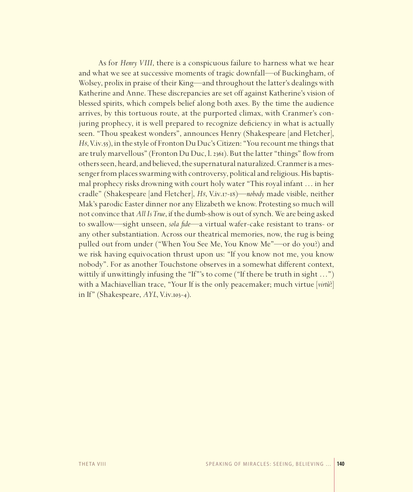As for *Henry VIII*, there is a conspicuous failure to harness what we hear and what we see at successive moments of tragic downfall—of Buckingham, of Wolsey, prolix in praise of their King—and throughout the latter's dealings with Katherine and Anne. These discrepancies are set off against Katherine's vision of blessed spirits, which compels belief along both axes. By the time the audience arrives, by this tortuous route, at the purported climax, with Cranmer's conjuring prophecy, it is well prepared to recognize deficiency in what is actually seen. "Thou speakest wonders", announces Henry (Shakespeare [and Fletcher], *H8*, V.iv.55), in the style of Fronton Du Duc's Citizen: "You recount me things that are truly marvellous" (Fronton Du Duc, l. 2361). But the latter "things" flow from others seen, heard, and believed, the supernatural naturalized. Cranmer is a messenger from places swarming with controversy, political and religious. His baptismal prophecy risks drowning with court holy water "This royal infant … in her cradle" (Shakespeare [and Fletcher], *H8*, V.iv.17-18)—*nobody* made visible, neither Mak's parodic Easter dinner nor any Elizabeth we know. Protesting so much will not convince that *All Is True*, if the dumb-show is out of synch. We are being asked to swallow—sight unseen, *sola fide*—a virtual wafer-cake resistant to trans- or any other substantiation. Across our theatrical memories, now, the rug is being pulled out from under ("When You See Me, You Know Me"—or do you?) and we risk having equivocation thrust upon us: "If you know not me, you know nobody". For as another Touchstone observes in a somewhat different context, wittily if unwittingly infusing the "If"'s to come ("If there be truth in sight ...") with a Machiavellian trace, "Your If is the only peacemaker; much virtue [*virtù*?] in If" (Shakespeare, *AYL*, V.iv.103-4).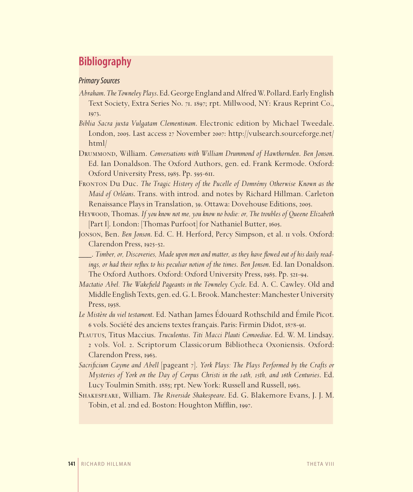# **Bibliography**

### *Primary Sources*

- *Abraham*. *The Towneley Plays*. Ed. George England and Alfred W. Pollard. Early English Text Society, Extra Series No. 71. 1897; rpt. Millwood, NY: Kraus Reprint Co., 1973.
- *Biblia Sacra juxta Vulgatam Clementinam*. Electronic edition by Michael Tweedale. London, 2005. Last access 27 November 2007: http://vulsearch.sourceforge.net/ html/
- Drummond, William. *Conversations with William Drummond of Hawthornden*. *Ben Jonson*. Ed. Ian Donaldson. The Oxford Authors, gen. ed. Frank Kermode. Oxford: Oxford University Press, 1985. Pp. 595-611.
- Fronton Du Duc. *The Tragic History of the Pucelle of Domrémy Otherwise Known as the Maid of Orléans*. Trans. with introd. and notes by Richard Hillman. Carleton Renaissance Plays in Translation, 39. Ottawa: Dovehouse Editions, 2005.
- Heywood, Thomas. *If you know not me, you know no bodie: or, The troubles of Queene Elizabeth* [Part I]. London: [Thomas Purfoot] for Nathaniel Butter, 1605.
- Jonson, Ben. *Ben Jonson*. Ed. C. H. Herford, Percy Simpson, et al. 11 vols. Oxford: Clarendon Press, 1925-52.
- \_\_\_. *Timber, or, Discoveries, Made upon men and matter, as they have fl owed out of his daily readings, or had their reflux to his peculiar notion of the times. Ben Jonson.* Ed. Ian Donaldson. The Oxford Authors. Oxford: Oxford University Press, 1985. Pp. 521-94.
- *Mactatio Abel. The Wakefield Pageants in the Towneley Cycle. Ed. A. C. Cawley. Old and* Middle English Texts, gen. ed. G. L. Brook. Manchester: Manchester University Press, 1958.
- *Le Mistère du viel testament*. Ed. Nathan James Édouard Rothschild and Émile Picot. 6 vols. Société des anciens textes français. Paris: Firmin Didot, 1878-91.
- Plautus, Titus Maccius. *Truculentus*. *Titi Macci Plauti Comoediae*. Ed. W. M. Lindsay. 2 vols. Vol. 2. Scriptorum Classicorum Bibliotheca Oxoniensis. Oxford: Clarendon Press, 1963.
- *Sacrifi cium Cayme and Abell* [pageant 7]. *York Plays: The Plays Performed by the Crafts or Mysteries of York on the Day of Corpus Christi in the 14th, 15th, and 16th Centuries*. Ed. Lucy Toulmin Smith. 1885; rpt. New York: Russell and Russell, 1963.
- Shakespeare, William. *The Riverside Shakespeare*. Ed. G. Blakemore Evans, J. J. M. Tobin, et al. 2nd ed. Boston: Houghton Mifflin, 1997.